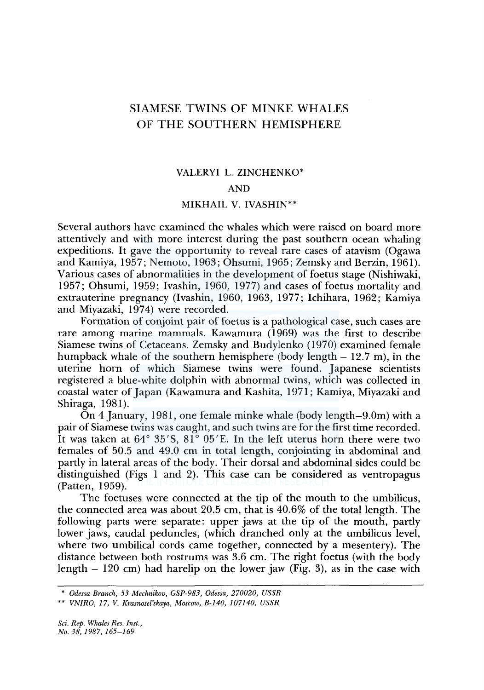# SIAMESE TWINS OF MINKE WHALES OF THE SOUTHERN HEMISPHERE

## VALERY! L. ZINCHENKO\*

#### AND

## MIKHAIL V. IVASHIN\*\*

Several authors have examined the whales which were raised on board more attentively and with more interest during the past southern ocean whaling expeditions. It gave the opportunity to reveal rare cases of atavism (Ogawa and Kamiya, 1957; Nemoto, 1963; Ohsumi, 1965; Zemsky and Berzin, 1961). Various cases of abnormalities in the development of foetus stage (Nishiwaki, 1957; Ohsumi, 1959; Ivashin, 1960, 1977) and cases of foetus mortality and extrauterine pregnancy (Ivashin, 1960, 1963, 1977; Ichihara, 1962; Kamiya and Miyazaki, 1974) were recorded.

Formation of conjoint pair of foetus is a pathological case, such cases are rare among marine mammals. Kawamura ( 1969) was the first to describe Siamese twins of Cetaceans. Zemsky and Budylenko (1970) examined female humpback whale of the southern hemisphere (body length  $-12.7$  m), in the uterine horn of which Siamese twins were found. Japanese scientists registered a blue-white dolphin with abnormal twins, which was collected in coastal water of Japan (Kawamura and Kashita, 1971; Kamiya, Miyazaki and Shiraga, 1981).

On 4 January, 1981, one female minke whale (body length-9.0m) with a pair of Siamese twins was caught, and such twins are for the first time recorded. It was taken at  $64^{\circ}$   $35^{\prime}$ S,  $81^{\circ}$   $05^{\prime}$ E. In the left uterus horn there were two females of 50.5 and 49.0 cm in total length, conjointing in abdominal and partly in lateral areas of the body. Their dorsal and abdominal sides could be distinguished (Figs 1 and 2). This case can be considered as ventropagus (Patten, 1959).

The foetuses were connected at the tip of the mouth to the umbilicus, the connected area was about 20.5 cm, that is 40.6% of the total length. The following parts were separate: upper jaws at the tip of the mouth, partly lower jaws, caudal peduncles, (which dranched only at the umbilicus level, where two umbilical cords came together, connected by a mesentery). The distance between both rostrums was 3.6 cm. The right foetus (with the body length  $-120$  cm) had harelip on the lower jaw (Fig. 3), as in the case with

<sup>\*</sup> *Odessa Branch, 53 Mechnikov, GSP-983, Odessa, 270020, USSR* 

<sup>\*\*</sup> *VNIRO, 17, V. Krasnosel'skaya, Moscow, B-140, 107140, USSR*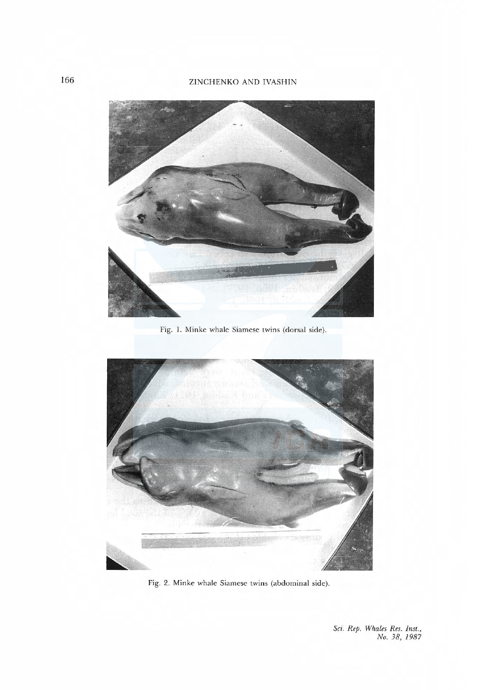### ZINCHENKO AND IVASHIN



Fig. I. Minke whale Siamese twins (dorsal side).



Fig. 2. Minke whale Siamese twins (abdominal side).

Sci. Rep. Whales Res. Inst., No. 38, 1987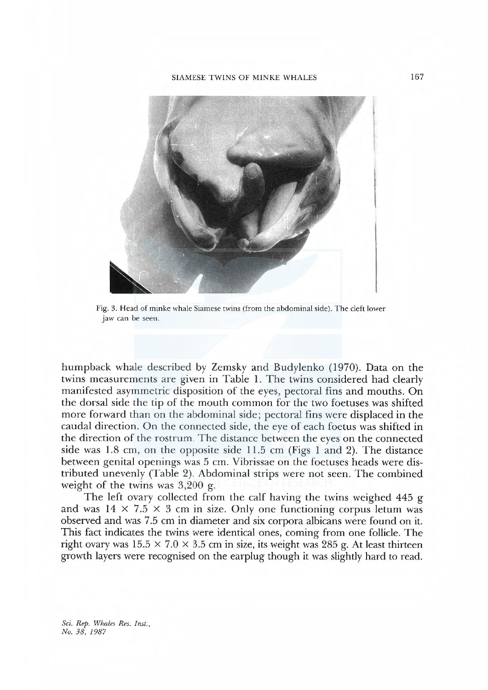

Fig. 3. Head of minke whale Siamese twins (from the abdominal side). The cleft lower jaw can be seen.

humpback whale described by Zemsky and Budylenko (1970). Data on the twins measurements are given in Table 1. The twins considered had clearly manifested asymmetric disposition of the eyes, pectoral fins and mouths. On the dorsal side the tip of the mouth com mon for the two foetuses was shifted more forward than on the abdominal side; pectoral fins were displaced in the caudal direction. On the connected side, the eye of each foetus was shifted in the direction of the rostrum. The distance between the eyes on the connected side was 1.8 cm, on the opposite side 11.5 cm (Figs 1 and 2). The distance between genital openings was 5 cm. Vibrissae on the foetuses heads were distributed unevenly (Table 2). Abdominal strips were not seen. The combined weight of the twins was 3,200 g.

The left ovary collected from the calf having the twins weighed 445 g and was  $14 \times 7.5 \times 3$  cm in size. Only one functioning corpus letum was observed and was 7.5 cm in diameter and six corpora albicans were found on it. This fact indicates the twins were identical ones, coming from one follicle. The right ovary was  $15.5 \times 7.0 \times 3.5$  cm in size, its weight was 285 g. At least thirteen growth layers were recognised on the earplug though it was slightly hard to read.

Sci. Rep. Whales Res. Inst., No. 38, 1987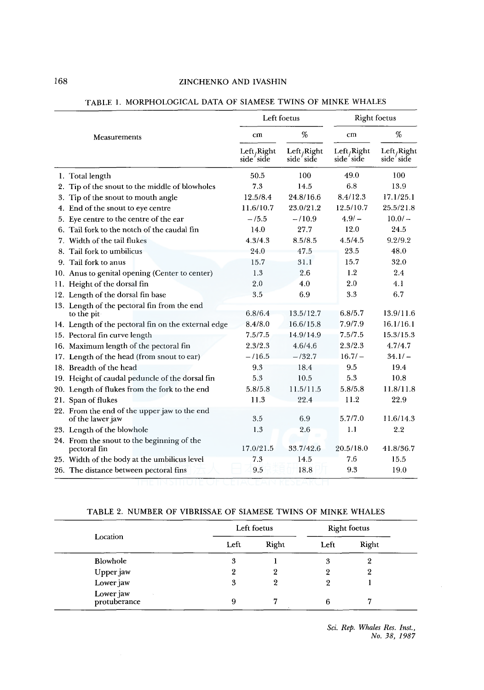|              |                                                                  | Left foetus              |                         | <b>Right foetus</b>      |                                       |  |
|--------------|------------------------------------------------------------------|--------------------------|-------------------------|--------------------------|---------------------------------------|--|
| Measurements |                                                                  | cm                       | %                       | $cm$                     | %                                     |  |
|              |                                                                  | Left, Right<br>side'side | Left/Right<br>side'side | Left/Right<br>side' side | Left <sub>/</sub> Right<br>side' side |  |
|              | 1. Total length                                                  | 50.5                     | 100                     | 49.0                     | 100                                   |  |
|              | 2. Tip of the snout to the middle of blowholes                   | 7.3                      | 14.5                    | 6.8                      | 13.9                                  |  |
|              | 3. Tip of the snout to mouth angle                               | 12.5/8.4                 | 24.8/16.6               | 8.4/12.3                 | 17.1/25.1                             |  |
|              | 4. End of the snout to eye centre                                | 11.6/10.7                | 23.0/21.2               | 12.5/10.7                | 25.5/21.8                             |  |
|              | 5. Eye centre to the centre of the ear                           | $-15.5$                  | $-110.9$                | $4.9/ -$                 | $10.0/-$                              |  |
|              | 6. Tail fork to the notch of the caudal fin                      | 14.0                     | 27.7                    | 12.0                     | 24.5                                  |  |
|              | 7. Width of the tail flukes                                      | 4.3/4.3                  | 8.5/8.5                 | 4.5/4.5                  | 9.2/9.2                               |  |
|              | 8. Tail fork to umbilicus                                        | 24.0                     | 47.5                    | 23.5                     | 48.0                                  |  |
|              | 9. Tail fork to anus                                             | 15.7                     | 31.1                    | 15.7                     | 32.0                                  |  |
|              | 10. Anus to genital opening (Center to center)                   | 1.3                      | 2.6                     | 1.2                      | 2.4                                   |  |
|              | 11. Height of the dorsal fin                                     | 2.0                      | 4.0                     | 2.0                      | 4.1                                   |  |
|              | 12. Length of the dorsal fin base                                | 3.5                      | 6.9                     | 3.3                      | 6.7                                   |  |
|              | 13. Length of the pectoral fin from the end                      |                          |                         |                          |                                       |  |
|              | to the pit-                                                      | 6.8/6.4                  | 13.5/12.7               | 6.8/5.7                  | 13.9/11.6                             |  |
|              | 14. Length of the pectoral fin on the external edge              | 8.4/8.0                  | 16.6/15.8               | 7.9/7.9                  | 16.1/16.1                             |  |
|              | 15. Pectoral fin curve length                                    | 7.5/7.5                  | 14.9/14.9               | 7.5/7.5                  | 15.3/15.3                             |  |
|              | 16. Maximum length of the pectoral fin                           | 2.3/2.3                  | 4.6/4.6                 | 2.3/2.3                  | 4.7/4.7                               |  |
|              | 17. Length of the head (from snout to ear)                       | $-116.5$                 | $-132.7$                | $16.7/ -$                | $34.1/-$                              |  |
|              | 18. Breadth of the head                                          | 9.3                      | 18.4                    | 9.5                      | 19.4                                  |  |
|              | 19. Height of caudal peduncle of the dorsal fin                  | 5.3                      | 10.5                    | 5.3                      | 10.8                                  |  |
|              | 20. Length of flukes from the fork to the end                    | 5.8/5.8                  | 11.5/11.5               | 5.8/5.8                  | 11.8/11.8                             |  |
|              | 21. Span of flukes                                               | 11.3                     | 22.4                    | 11.2                     | 22.9                                  |  |
|              | 22. From the end of the upper jaw to the end<br>of the lawer jaw | 3.5                      | 6.9                     | 5.7/7.0                  | 11.6/14.3                             |  |
|              | 23. Length of the blowhole                                       | 1.3                      | 2.6                     | 1.1                      | 2.2                                   |  |
|              | 24. From the snout to the beginning of the<br>pectoral fin       | 17.0/21.5                | 33.7/42.6               | 20.5/18.0                | 41.8/36.7                             |  |
|              | 25. Width of the body at the umbilicus level                     | 7.3                      | 14.5                    | 7.6                      | 15.5                                  |  |
|              | 26. The distance between pectoral fins                           | 9.5                      | 18.8                    | 9.3                      | 19.0                                  |  |

# TABLE 1. MORPHOLOGICAL DATA OF SIAMESE TWINS OF MINKE WHALES

# TABLE 2. NUMBER OF VIBRISSAE OF SIAMESE TWINS OF MINKE WHALES

|                           | Left foetus |       | Right foetus |       |  |
|---------------------------|-------------|-------|--------------|-------|--|
| Location                  | Left        | Right | Left         | Right |  |
| Blowhole                  | 3           |       | 3            | 2     |  |
| Upper jaw                 | 9           | 2     | 2            | 2     |  |
| Lower jaw                 | 3           | 9     | ๑            |       |  |
| Lower jaw<br>protuberance | 9           |       | 6            |       |  |

*Sci. Rep. Whales Res. Inst., No. 38, 1987*